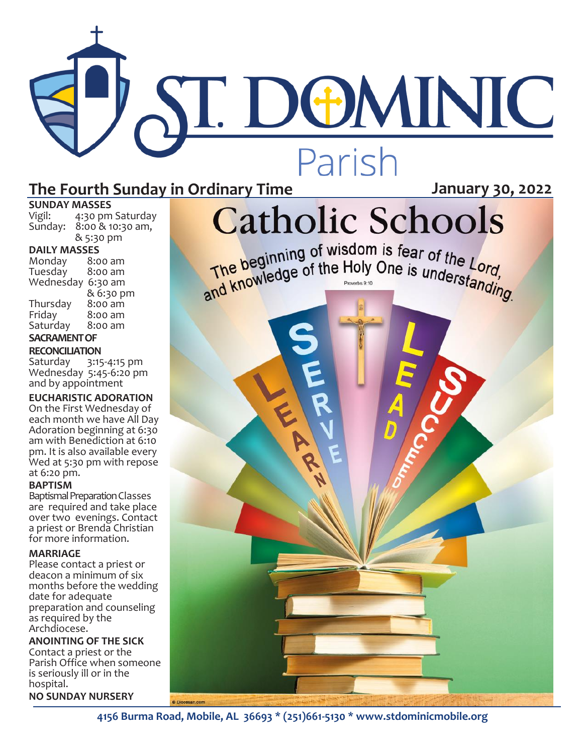# ST. DOMINIC Parish

# **SUNDAY MASSES**<br>Vigil: 4:30 pm

4:30 pm Saturday Sunday: 8:00 & 10:30 am, & 5:30 pm

**DAILY MASSES**  Monday 8:00 am Tuesday Wednesday 6:30 am & 6:30 pm<br>8:00 am Thursday<br>Friday 8:00 am<br>8:00 am Saturday **SACRAMENT OF** 

**RECONCILIATION**<br>Saturday 3:15 3:15-4:15 pm Wednesday 5:45-6:20 pm and by appointment

### **EUCHARISTIC ADORATION**

On the First Wednesday of each month we have All Day Adoration beginning at 6:30 am with Benediction at 6:10 pm. It is also available every Wed at 5:30 pm with repose at 6:20 pm.

### **BAPTISM**

Baptismal Preparation Classes are required and take place over two evenings. Contact a priest or Brenda Christian for more information.

### **MARRIAGE**

Please contact a priest or deacon a minimum of six months before the wedding date for adequate preparation and counseling as required by the Archdiocese.

**ANOINTING OF THE SICK** Contact a priest or the Parish Office when someone is seriously ill or in the hospital. **NO SUNDAY NURSERY**

The Fourth Sunday in Ordinary Time<br> **SUNDAY MASSES**<br>
Vigil: 4:30 pm Saturday<br>
Sunday: 8:00 & 10:30 am,<br> **Catholic Schools** 

The beginning of wisdom is fear of the Lord,<br>and knowledge of the Holy One is understanding.

**4156 Burma Road, Mobile, AL 36693 \* (251)661-5130 \* www.stdominicmobile.org**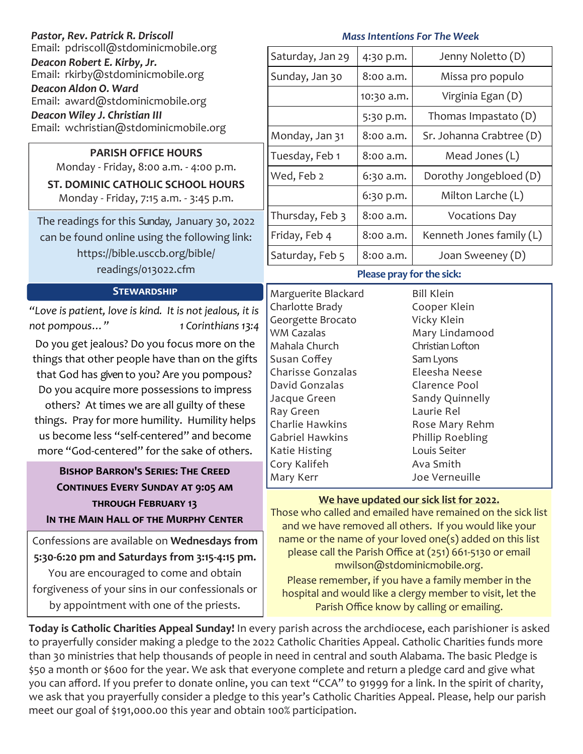### *Pastor, Rev. Patrick R. Driscoll* Email: pdriscoll@stdominicmobile.org

*Deacon Robert E. Kirby, Jr.* Email: rkirby@stdominicmobile.org *Deacon Aldon O. Ward* Email: award@stdominicmobile.org *Deacon Wiley J. Christian III* Email: wchristian@stdominicmobile.org

# **PARISH OFFICE HOURS**

Monday - Friday, 8:00 a.m. - 4:00 p.m.

**ST. DOMINIC CATHOLIC SCHOOL HOURS** 

Monday - Friday, 7:15 a.m. - 3:45 p.m.

The readings for this Sunday, January 30, 2022 can be found online using the following link: https://bible.usccb.org/bible/ readings/013022.cfm

### **Stewardship**

*"Love is patient, love is kind. It is not jealous, it is not pompous…" 1 Corinthians 13:4* Do you get jealous? Do you focus more on the things that other people have than on the gifts that God has given to you? Are you pompous? Do you acquire more possessions to impress others? At times we are all guilty of these things. Pray for more humility. Humility helps us become less "self-centered" and become more "God-centered" for the sake of others.

## **Bishop Barron's Series: The Creed Continues Every Sunday at 9:05 am through February 13 In the Main Hall of the Murphy Center**

Confessions are available on **Wednesdays from 5:30-6:20 pm and Saturdays from 3:15-4:15 pm.** 

You are encouraged to come and obtain forgiveness of your sins in our confessionals or by appointment with one of the priests.

### *Mass Intentions For The Week*

| Saturday, Jan 29 | 4:30 p.m.   | Jenny Noletto (D)        |
|------------------|-------------|--------------------------|
| Sunday, Jan 30   | 8:00 a.m.   | Missa pro populo         |
|                  | 10:30 a.m.  | Virginia Egan (D)        |
|                  | 5:30 p.m.   | Thomas Impastato (D)     |
| Monday, Jan 31   | 8:00 a.m.   | Sr. Johanna Crabtree (D) |
| Tuesday, Feb 1   | 8:00 a.m.   | Mead Jones (L)           |
| Wed, Feb 2       | $6:30$ a.m. | Dorothy Jongebloed (D)   |
|                  | 6:30 p.m.   | Milton Larche (L)        |
| Thursday, Feb 3  | 8:00 a.m.   | <b>Vocations Day</b>     |
| Friday, Feb 4    | 8:00 a.m.   | Kenneth Jones family (L) |
| Saturday, Feb 5  | 8:00 a.m.   | Joan Sweeney (D)         |

## **Please pray for the sick:**

Marguerite Blackard Charlotte Brady Georgette Brocato WM Cazalas Mahala Church Susan Coffey Charisse Gonzalas David Gonzalas Jacque Green Ray Green Charlie Hawkins Gabriel Hawkins Katie Histing Cory Kalifeh Mary Kerr

Bill Klein Cooper Klein Vicky Klein Mary Lindamood Christian Lofton Sam Lyons Eleesha Neese Clarence Pool Sandy Quinnelly Laurie Rel Rose Mary Rehm Phillip Roebling Louis Seiter Ava Smith Joe Verneuille

### **We have updated our sick list for 2022.**

Those who called and emailed have remained on the sick list and we have removed all others. If you would like your name or the name of your loved one(s) added on this list please call the Parish Office at (251) 661-5130 or email mwilson@stdominicmobile.org.

Please remember, if you have a family member in the hospital and would like a clergy member to visit, let the Parish Office know by calling or emailing.

**Today is Catholic Charities Appeal Sunday!** In every parish across the archdiocese, each parishioner is asked to prayerfully consider making a pledge to the 2022 Catholic Charities Appeal. Catholic Charities funds more than 30 ministries that help thousands of people in need in central and south Alabama. The basic Pledge is \$50 a month or \$600 for the year. We ask that everyone complete and return a pledge card and give what you can afford. If you prefer to donate online, you can text "CCA" to 91999 for a link. In the spirit of charity, we ask that you prayerfully consider a pledge to this year's Catholic Charities Appeal. Please, help our parish meet our goal of \$191,000.00 this year and obtain 100% participation.